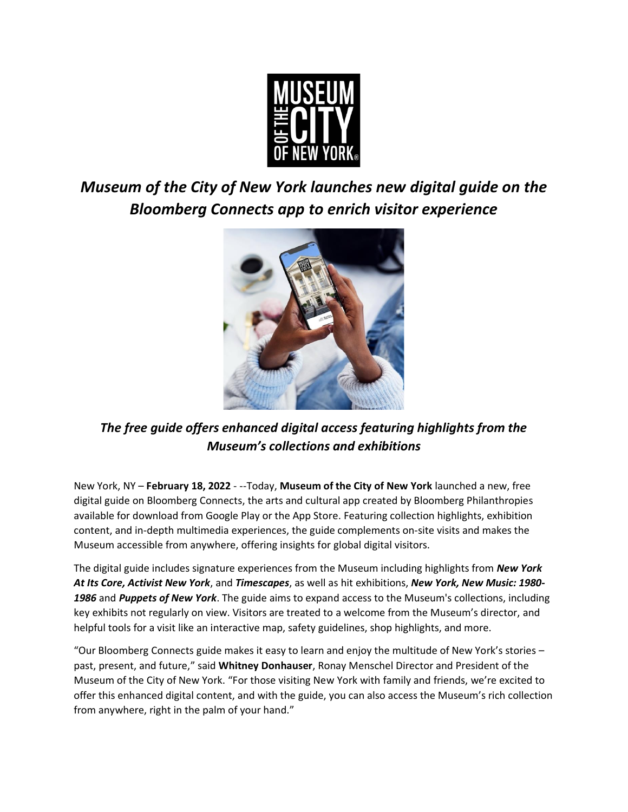

## *Museum of the City of New York launches new digital guide on the Bloomberg Connects app to enrich visitor experience*



## *The free guide offers enhanced digital access featuring highlights from the Museum's collections and exhibitions*

New York, NY – **February 18, 2022** - --Today, **Museum of the City of New York** launched a new, free digital guide on Bloomberg Connects, the arts and cultural app created by Bloomberg Philanthropies available for download from Google Play or the App Store. Featuring collection highlights, exhibition content, and in-depth multimedia experiences, the guide complements on-site visits and makes the Museum accessible from anywhere, offering insights for global digital visitors.

The digital guide includes signature experiences from the Museum including highlights from *New York At Its Core, Activist New York*, and *Timescapes*, as well as hit exhibitions, *New York, New Music: 1980- 1986* and *Puppets of New York*. The guide aims to expand access to the Museum's collections, including key exhibits not regularly on view. Visitors are treated to a welcome from the Museum's director, and helpful tools for a visit like an interactive map, safety guidelines, shop highlights, and more.

"Our Bloomberg Connects guide makes it easy to learn and enjoy the multitude of New York's stories – past, present, and future," said **Whitney Donhauser**, Ronay Menschel Director and President of the Museum of the City of New York. "For those visiting New York with family and friends, we're excited to offer this enhanced digital content, and with the guide, you can also access the Museum's rich collection from anywhere, right in the palm of your hand."